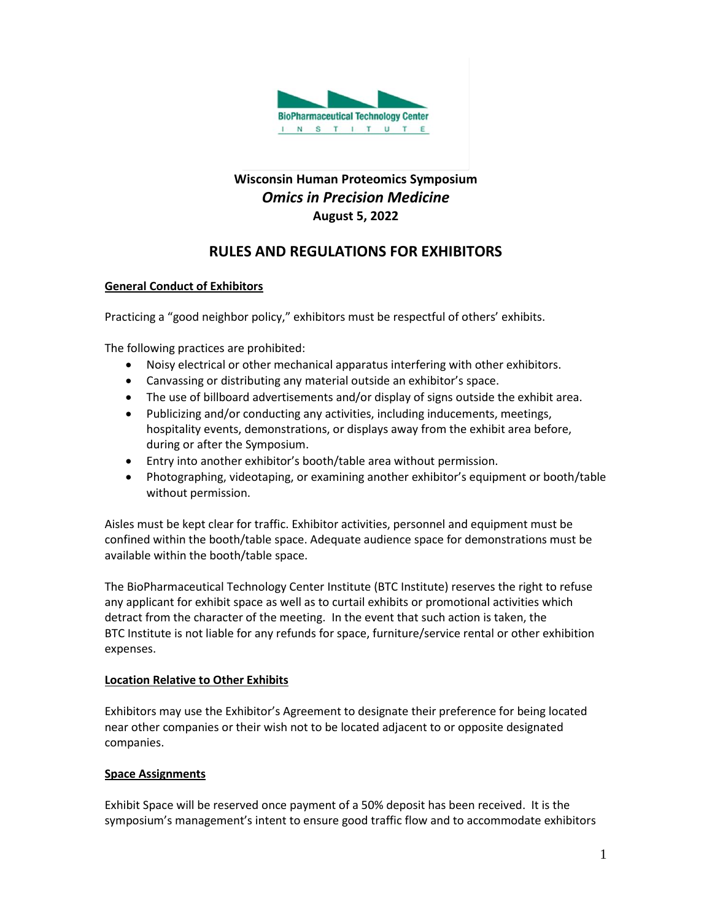

# **Wisconsin Human Proteomics Symposium** *Omics in Precision Medicine* **August 5, 2022**

# **RULES AND REGULATIONS FOR EXHIBITORS**

# **General Conduct of Exhibitors**

Practicing a "good neighbor policy," exhibitors must be respectful of others' exhibits.

The following practices are prohibited:

- Noisy electrical or other mechanical apparatus interfering with other exhibitors.
- Canvassing or distributing any material outside an exhibitor's space.
- The use of billboard advertisements and/or display of signs outside the exhibit area.
- Publicizing and/or conducting any activities, including inducements, meetings, hospitality events, demonstrations, or displays away from the exhibit area before, during or after the Symposium.
- Entry into another exhibitor's booth/table area without permission.
- Photographing, videotaping, or examining another exhibitor's equipment or booth/table without permission.

Aisles must be kept clear for traffic. Exhibitor activities, personnel and equipment must be confined within the booth/table space. Adequate audience space for demonstrations must be available within the booth/table space.

The BioPharmaceutical Technology Center Institute (BTC Institute) reserves the right to refuse any applicant for exhibit space as well as to curtail exhibits or promotional activities which detract from the character of the meeting. In the event that such action is taken, the BTC Institute is not liable for any refunds for space, furniture/service rental or other exhibition expenses.

### **Location Relative to Other Exhibits**

Exhibitors may use the Exhibitor's Agreement to designate their preference for being located near other companies or their wish not to be located adjacent to or opposite designated companies.

### **Space Assignments**

Exhibit Space will be reserved once payment of a 50% deposit has been received. It is the symposium's management's intent to ensure good traffic flow and to accommodate exhibitors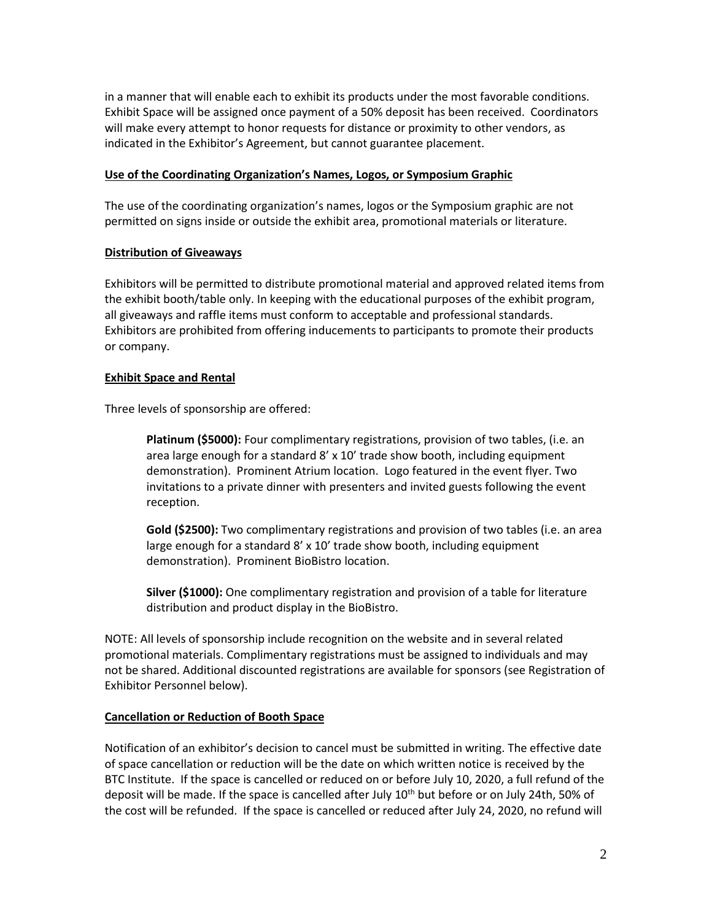in a manner that will enable each to exhibit its products under the most favorable conditions. Exhibit Space will be assigned once payment of a 50% deposit has been received. Coordinators will make every attempt to honor requests for distance or proximity to other vendors, as indicated in the Exhibitor's Agreement, but cannot guarantee placement.

### **Use of the Coordinating Organization's Names, Logos, or Symposium Graphic**

The use of the coordinating organization's names, logos or the Symposium graphic are not permitted on signs inside or outside the exhibit area, promotional materials or literature.

### **Distribution of Giveaways**

Exhibitors will be permitted to distribute promotional material and approved related items from the exhibit booth/table only. In keeping with the educational purposes of the exhibit program, all giveaways and raffle items must conform to acceptable and professional standards. Exhibitors are prohibited from offering inducements to participants to promote their products or company.

# **Exhibit Space and Rental**

Three levels of sponsorship are offered:

**Platinum (\$5000):** Four complimentary registrations, provision of two tables, (i.e. an area large enough for a standard 8' x 10' trade show booth, including equipment demonstration). Prominent Atrium location. Logo featured in the event flyer. Two invitations to a private dinner with presenters and invited guests following the event reception.

**Gold (\$2500):** Two complimentary registrations and provision of two tables (i.e. an area large enough for a standard 8' x 10' trade show booth, including equipment demonstration). Prominent BioBistro location.

**Silver (\$1000):** One complimentary registration and provision of a table for literature distribution and product display in the BioBistro.

NOTE: All levels of sponsorship include recognition on the website and in several related promotional materials. Complimentary registrations must be assigned to individuals and may not be shared. Additional discounted registrations are available for sponsors (see Registration of Exhibitor Personnel below).

### **Cancellation or Reduction of Booth Space**

Notification of an exhibitor's decision to cancel must be submitted in writing. The effective date of space cancellation or reduction will be the date on which written notice is received by the BTC Institute. If the space is cancelled or reduced on or before July 10, 2020, a full refund of the deposit will be made. If the space is cancelled after July 10<sup>th</sup> but before or on July 24th, 50% of the cost will be refunded. If the space is cancelled or reduced after July 24, 2020, no refund will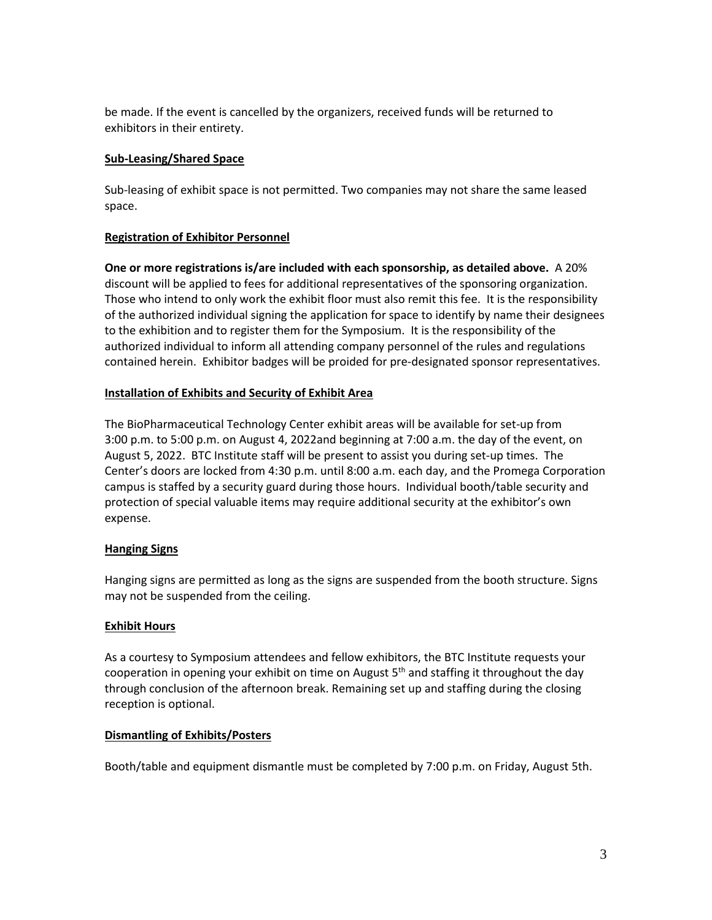be made. If the event is cancelled by the organizers, received funds will be returned to exhibitors in their entirety.

### **Sub-Leasing/Shared Space**

Sub-leasing of exhibit space is not permitted. Two companies may not share the same leased space.

# **Registration of Exhibitor Personnel**

**One or more registrations is/are included with each sponsorship, as detailed above.** A 20% discount will be applied to fees for additional representatives of the sponsoring organization. Those who intend to only work the exhibit floor must also remit this fee. It is the responsibility of the authorized individual signing the application for space to identify by name their designees to the exhibition and to register them for the Symposium. It is the responsibility of the authorized individual to inform all attending company personnel of the rules and regulations contained herein. Exhibitor badges will be proided for pre-designated sponsor representatives.

# **Installation of Exhibits and Security of Exhibit Area**

The BioPharmaceutical Technology Center exhibit areas will be available for set-up from 3:00 p.m. to 5:00 p.m. on August 4, 2022and beginning at 7:00 a.m. the day of the event, on August 5, 2022. BTC Institute staff will be present to assist you during set-up times. The Center's doors are locked from 4:30 p.m. until 8:00 a.m. each day, and the Promega Corporation campus is staffed by a security guard during those hours. Individual booth/table security and protection of special valuable items may require additional security at the exhibitor's own expense.

# **Hanging Signs**

Hanging signs are permitted as long as the signs are suspended from the booth structure. Signs may not be suspended from the ceiling.

### **Exhibit Hours**

As a courtesy to Symposium attendees and fellow exhibitors, the BTC Institute requests your cooperation in opening your exhibit on time on August  $5<sup>th</sup>$  and staffing it throughout the day through conclusion of the afternoon break. Remaining set up and staffing during the closing reception is optional.

### **Dismantling of Exhibits/Posters**

Booth/table and equipment dismantle must be completed by 7:00 p.m. on Friday, August 5th.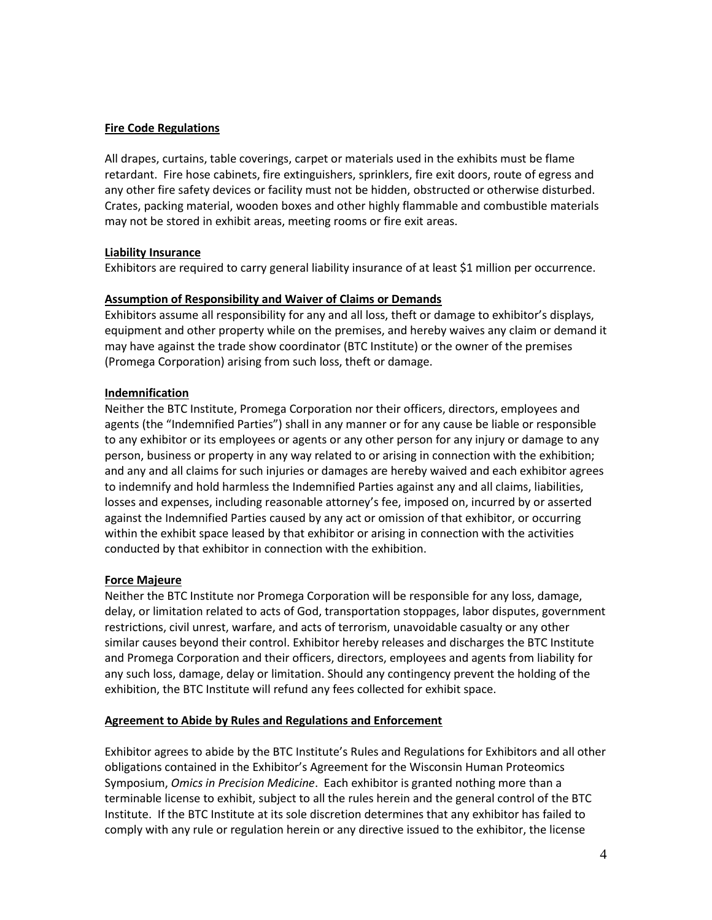### **Fire Code Regulations**

All drapes, curtains, table coverings, carpet or materials used in the exhibits must be flame retardant. Fire hose cabinets, fire extinguishers, sprinklers, fire exit doors, route of egress and any other fire safety devices or facility must not be hidden, obstructed or otherwise disturbed. Crates, packing material, wooden boxes and other highly flammable and combustible materials may not be stored in exhibit areas, meeting rooms or fire exit areas.

# **Liability Insurance**

Exhibitors are required to carry general liability insurance of at least \$1 million per occurrence.

### **Assumption of Responsibility and Waiver of Claims or Demands**

Exhibitors assume all responsibility for any and all loss, theft or damage to exhibitor's displays, equipment and other property while on the premises, and hereby waives any claim or demand it may have against the trade show coordinator (BTC Institute) or the owner of the premises (Promega Corporation) arising from such loss, theft or damage.

# **Indemnification**

Neither the BTC Institute, Promega Corporation nor their officers, directors, employees and agents (the "Indemnified Parties") shall in any manner or for any cause be liable or responsible to any exhibitor or its employees or agents or any other person for any injury or damage to any person, business or property in any way related to or arising in connection with the exhibition; and any and all claims for such injuries or damages are hereby waived and each exhibitor agrees to indemnify and hold harmless the Indemnified Parties against any and all claims, liabilities, losses and expenses, including reasonable attorney's fee, imposed on, incurred by or asserted against the Indemnified Parties caused by any act or omission of that exhibitor, or occurring within the exhibit space leased by that exhibitor or arising in connection with the activities conducted by that exhibitor in connection with the exhibition.

### **Force Majeure**

Neither the BTC Institute nor Promega Corporation will be responsible for any loss, damage, delay, or limitation related to acts of God, transportation stoppages, labor disputes, government restrictions, civil unrest, warfare, and acts of terrorism, unavoidable casualty or any other similar causes beyond their control. Exhibitor hereby releases and discharges the BTC Institute and Promega Corporation and their officers, directors, employees and agents from liability for any such loss, damage, delay or limitation. Should any contingency prevent the holding of the exhibition, the BTC Institute will refund any fees collected for exhibit space.

### **Agreement to Abide by Rules and Regulations and Enforcement**

Exhibitor agrees to abide by the BTC Institute's Rules and Regulations for Exhibitors and all other obligations contained in the Exhibitor's Agreement for the Wisconsin Human Proteomics Symposium, *Omics in Precision Medicine*. Each exhibitor is granted nothing more than a terminable license to exhibit, subject to all the rules herein and the general control of the BTC Institute. If the BTC Institute at its sole discretion determines that any exhibitor has failed to comply with any rule or regulation herein or any directive issued to the exhibitor, the license